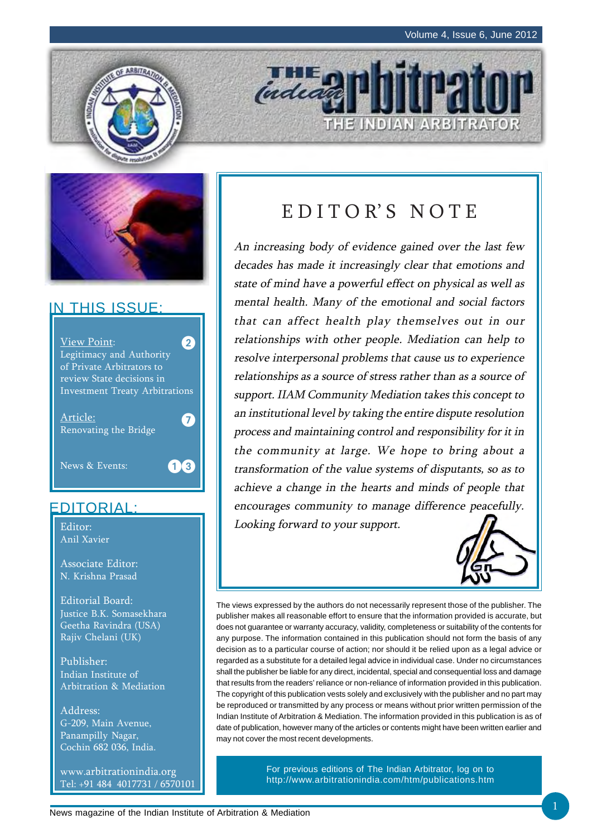



## IN THIS ISSUE:



## EDITORIAL:

Editor: Anil Xavier

Associate Editor: N. Krishna Prasad

Editorial Board: Justice B.K. Somasekhara Geetha Ravindra (USA) Rajiv Chelani (UK)

Publisher: Indian Institute of Arbitration & Mediation

Address: G-209, Main Avenue, Panampilly Nagar, Cochin 682 036, India.

www.arbitrationindia.org Tel: +91 484 4017731 / 6570101

# EDITOR'S NOTE

THE INDIAN ARBITRATOR

indeal

An increasing body of evidence gained over the last few decades has made it increasingly clear that emotions and state of mind have a powerful effect on physical as well as mental health. Many of the emotional and social factors that can affect health play themselves out in our relationships with other people. Mediation can help to resolve interpersonal problems that cause us to experience relationships as a source of stress rather than as a source of support. IIAM Community Mediation takes this concept to an institutional level by taking the entire dispute resolution process and maintaining control and responsibility for it in the community at large. We hope to bring about a transformation of the value systems of disputants, so as to achieve a change in the hearts and minds of people that encourages community to manage difference peacefully. Looking forward to your support.



The views expressed by the authors do not necessarily represent those of the publisher. The publisher makes all reasonable effort to ensure that the information provided is accurate, but does not guarantee or warranty accuracy, validity, completeness or suitability of the contents for any purpose. The information contained in this publication should not form the basis of any decision as to a particular course of action; nor should it be relied upon as a legal advice or regarded as a substitute for a detailed legal advice in individual case. Under no circumstances shall the publisher be liable for any direct, incidental, special and consequential loss and damage that results from the readers' reliance or non-reliance of information provided in this publication. The copyright of this publication vests solely and exclusively with the publisher and no part may be reproduced or transmitted by any process or means without prior written permission of the Indian Institute of Arbitration & Mediation. The information provided in this publication is as of date of publication, however many of the articles or contents might have been written earlier and may not cover the most recent developments.

> For previous editions of The Indian Arbitrator, log on to http://www.arbitrationindia.com/htm/publications.htm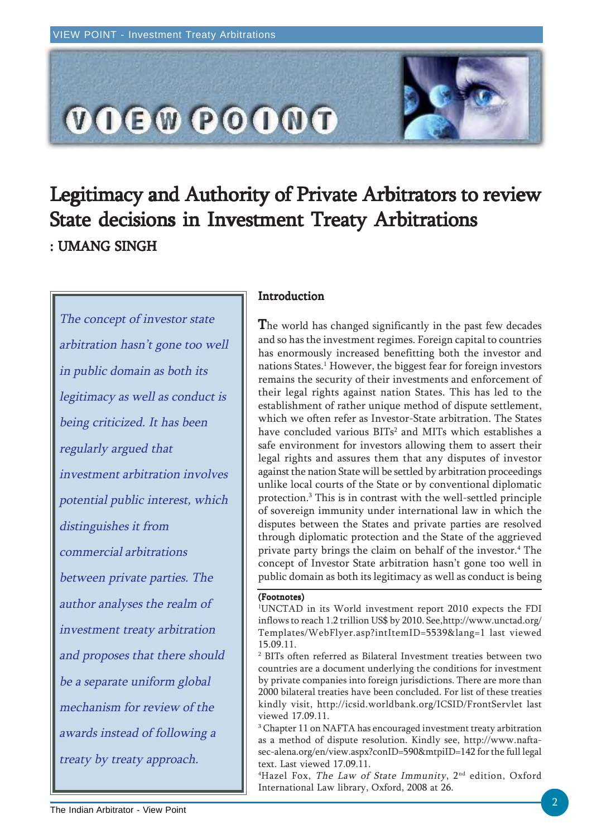

# Legitimacy and Authority of Private Arbitrators to review State decisions in Investment Treaty Arbitrations : UMANG SINGH

The concept of investor state arbitration hasn't gone too well in public domain as both its legitimacy as well as conduct is being criticized. It has been regularly argued that investment arbitration involves potential public interest, which distinguishes it from commercial arbitrations between private parties. The author analyses the realm of investment treaty arbitration and proposes that there should be a separate uniform global mechanism for review of the awards instead of following a treaty by treaty approach.

### Introduction

The world has changed significantly in the past few decades and so has the investment regimes. Foreign capital to countries has enormously increased benefitting both the investor and nations States.1 However, the biggest fear for foreign investors remains the security of their investments and enforcement of their legal rights against nation States. This has led to the establishment of rather unique method of dispute settlement, which we often refer as Investor-State arbitration. The States have concluded various BITs<sup>2</sup> and MITs which establishes a safe environment for investors allowing them to assert their legal rights and assures them that any disputes of investor against the nation State will be settled by arbitration proceedings unlike local courts of the State or by conventional diplomatic protection.3 This is in contrast with the well-settled principle of sovereign immunity under international law in which the disputes between the States and private parties are resolved through diplomatic protection and the State of the aggrieved private party brings the claim on behalf of the investor.4 The concept of Investor State arbitration hasn't gone too well in public domain as both its legitimacy as well as conduct is being

#### (Footnotes)

1 UNCTAD in its World investment report 2010 expects the FDI inflows to reach 1.2 trillion US\$ by 2010. See,http://www.unctad.org/ Templates/WebFlyer.asp?intItemID=5539&lang=1 last viewed 15.09.11.

2 BITs often referred as Bilateral Investment treaties between two countries are a document underlying the conditions for investment by private companies into foreign jurisdictions. There are more than 2000 bilateral treaties have been concluded. For list of these treaties kindly visit, http://icsid.worldbank.org/ICSID/FrontServlet last viewed 17.09.11.

 $\rm{^{3}}$  Chapter 11 on NAFTA has encouraged investment treaty arbitration as a method of dispute resolution. Kindly see, http://www.naftasec-alena.org/en/view.aspx?conID=590&mtpiID=142 for the full legal text. Last viewed 17.09.11.

 $^4$ Hazel Fox, *The Law of State Immunity*,  $2^{\text{\tiny nd}}$  edition,  $\text{Oxford}$ International Law library, Oxford, 2008 at 26.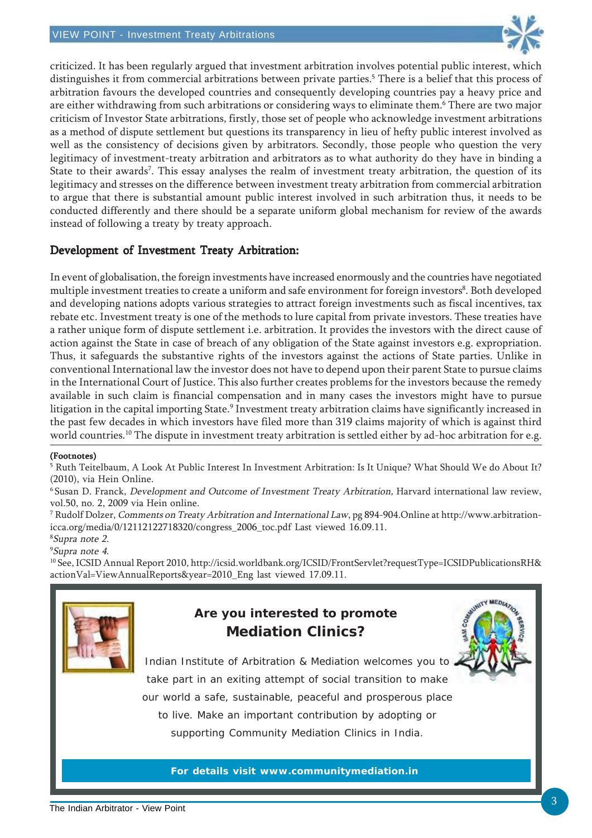

criticized. It has been regularly argued that investment arbitration involves potential public interest, which distinguishes it from commercial arbitrations between private parties.<sup>5</sup> There is a belief that this process of arbitration favours the developed countries and consequently developing countries pay a heavy price and are either withdrawing from such arbitrations or considering ways to eliminate them.<sup>6</sup> There are two major criticism of Investor State arbitrations, firstly, those set of people who acknowledge investment arbitrations as a method of dispute settlement but questions its transparency in lieu of hefty public interest involved as well as the consistency of decisions given by arbitrators. Secondly, those people who question the very legitimacy of investment-treaty arbitration and arbitrators as to what authority do they have in binding a State to their awards<sup>7</sup>. This essay analyses the realm of investment treaty arbitration, the question of its legitimacy and stresses on the difference between investment treaty arbitration from commercial arbitration to argue that there is substantial amount public interest involved in such arbitration thus, it needs to be conducted differently and there should be a separate uniform global mechanism for review of the awards instead of following a treaty by treaty approach.

### Development of Investment Treaty Arbitration:

In event of globalisation, the foreign investments have increased enormously and the countries have negotiated multiple investment treaties to create a uniform and safe environment for foreign investors<sup>8</sup>. Both developed and developing nations adopts various strategies to attract foreign investments such as fiscal incentives, tax rebate etc. Investment treaty is one of the methods to lure capital from private investors. These treaties have a rather unique form of dispute settlement i.e. arbitration. It provides the investors with the direct cause of action against the State in case of breach of any obligation of the State against investors e.g. expropriation. Thus, it safeguards the substantive rights of the investors against the actions of State parties. Unlike in conventional International law the investor does not have to depend upon their parent State to pursue claims in the International Court of Justice. This also further creates problems for the investors because the remedy available in such claim is financial compensation and in many cases the investors might have to pursue litigation in the capital importing State.<sup>9</sup> Investment treaty arbitration claims have significantly increased in the past few decades in which investors have filed more than 319 claims majority of which is against third world countries.<sup>10</sup> The dispute in investment treaty arbitration is settled either by ad-hoc arbitration for e.g.

### (Footnotes)

<sup>5</sup> Ruth Teitelbaum, A Look At Public Interest In Investment Arbitration: Is It Unique? What Should We do About It? (2010), via Hein Online.

6 Susan D. Franck, Development and Outcome of Investment Treaty Arbitration, Harvard international law review, vol.50, no. 2, 2009 via Hein online.

7 Rudolf Dolzer, Comments on Treaty Arbitration and International Law, pg 894-904.Online at http://www.arbitrationicca.org/media/0/12112122718320/congress\_2006\_toc.pdf Last viewed 16.09.11.

8 Supra note 2.

9 Supra note 4.

10 See, ICSID Annual Report 2010, http://icsid.worldbank.org/ICSID/FrontServlet?requestType=ICSIDPublicationsRH& actionVal=ViewAnnualReports&year=2010\_Eng last viewed 17.09.11.



## **Are you interested to promote Mediation Clinics?**



Indian Institute of Arbitration & Mediation welcomes you to take part in an exiting attempt of social transition to make our world a safe, sustainable, peaceful and prosperous place to live. Make an important contribution by adopting or supporting Community Mediation Clinics in India.

**For details visit www.communitymediation.in**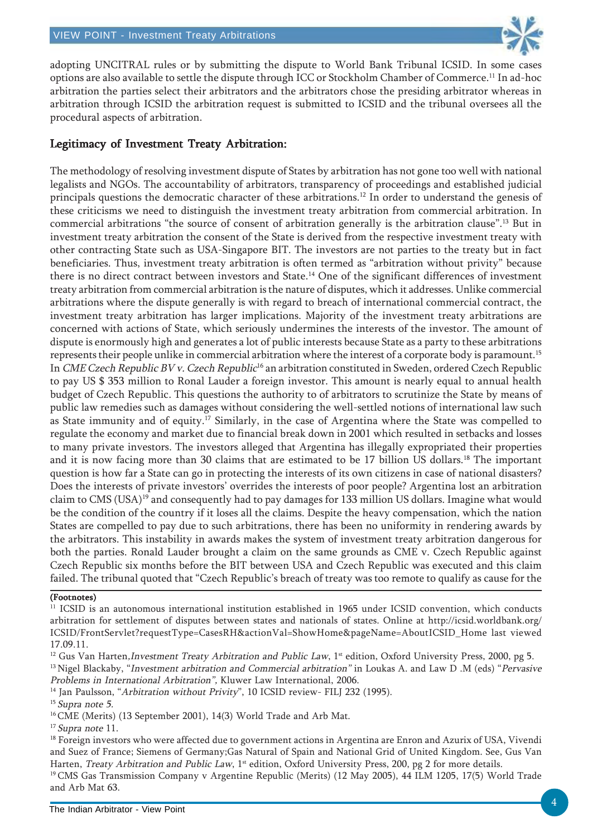

adopting UNCITRAL rules or by submitting the dispute to World Bank Tribunal ICSID. In some cases options are also available to settle the dispute through ICC or Stockholm Chamber of Commerce.11 In ad-hoc arbitration the parties select their arbitrators and the arbitrators chose the presiding arbitrator whereas in arbitration through ICSID the arbitration request is submitted to ICSID and the tribunal oversees all the procedural aspects of arbitration.

### Legitimacy of Investment Treaty Arbitration: Legitimacy of Investment Treaty Arbitration:

The methodology of resolving investment dispute of States by arbitration has not gone too well with national legalists and NGOs. The accountability of arbitrators, transparency of proceedings and established judicial principals questions the democratic character of these arbitrations.<sup>12</sup> In order to understand the genesis of these criticisms we need to distinguish the investment treaty arbitration from commercial arbitration. In commercial arbitrations "the source of consent of arbitration generally is the arbitration clause".13 But in investment treaty arbitration the consent of the State is derived from the respective investment treaty with other contracting State such as USA-Singapore BIT. The investors are not parties to the treaty but in fact beneficiaries. Thus, investment treaty arbitration is often termed as "arbitration without privity" because there is no direct contract between investors and State.14 One of the significant differences of investment treaty arbitration from commercial arbitration is the nature of disputes, which it addresses. Unlike commercial arbitrations where the dispute generally is with regard to breach of international commercial contract, the investment treaty arbitration has larger implications. Majority of the investment treaty arbitrations are concerned with actions of State, which seriously undermines the interests of the investor. The amount of dispute is enormously high and generates a lot of public interests because State as a party to these arbitrations represents their people unlike in commercial arbitration where the interest of a corporate body is paramount.15 In CME Czech Republic BV v. Czech Republic<sup>16</sup> an arbitration constituted in Sweden, ordered Czech Republic to pay US \$ 353 million to Ronal Lauder a foreign investor. This amount is nearly equal to annual health budget of Czech Republic. This questions the authority to of arbitrators to scrutinize the State by means of public law remedies such as damages without considering the well-settled notions of international law such as State immunity and of equity.17 Similarly, in the case of Argentina where the State was compelled to regulate the economy and market due to financial break down in 2001 which resulted in setbacks and losses to many private investors. The investors alleged that Argentina has illegally expropriated their properties and it is now facing more than 30 claims that are estimated to be 17 billion US dollars.<sup>18</sup> The important question is how far a State can go in protecting the interests of its own citizens in case of national disasters? Does the interests of private investors' overrides the interests of poor people? Argentina lost an arbitration claim to CMS (USA)19 and consequently had to pay damages for 133 million US dollars. Imagine what would be the condition of the country if it loses all the claims. Despite the heavy compensation, which the nation States are compelled to pay due to such arbitrations, there has been no uniformity in rendering awards by the arbitrators. This instability in awards makes the system of investment treaty arbitration dangerous for both the parties. Ronald Lauder brought a claim on the same grounds as CME v. Czech Republic against Czech Republic six months before the BIT between USA and Czech Republic was executed and this claim failed. The tribunal quoted that "Czech Republic's breach of treaty was too remote to qualify as cause for the

### (Footnotes)

<sup>13</sup> Nigel Blackaby, "Investment arbitration and Commercial arbitration" in Loukas A. and Law D .M (eds) "Pervasive Problems in International Arbitration", Kluwer Law International, 2006.

<sup>14</sup> Jan Paulsson, "Arbitration without Privity", 10 ICSID review- FILJ 232 (1995).

 $15$  Supra note 5.

16 CME (Merits) (13 September 2001), 14(3) World Trade and Arb Mat.

<sup>17</sup> Supra note 11.

<sup>18</sup> Foreign investors who were affected due to government actions in Argentina are Enron and Azurix of USA, Vivendi and Suez of France; Siemens of Germany;Gas Natural of Spain and National Grid of United Kingdom. See, Gus Van Harten, Treaty Arbitration and Public Law, 1<sup>st</sup> edition, Oxford University Press, 200, pg 2 for more details. 19 CMS Gas Transmission Company v Argentine Republic (Merits) (12 May 2005), 44 ILM 1205, 17(5) World Trade and Arb Mat 63.

<sup>11</sup> ICSID is an autonomous international institution established in 1965 under ICSID convention, which conducts arbitration for settlement of disputes between states and nationals of states. Online at http://icsid.worldbank.org/ ICSID/FrontServlet?requestType=CasesRH&actionVal=ShowHome&pageName=AboutICSID\_Home last viewed 17.09.11.

<sup>&</sup>lt;sup>12</sup> Gus Van Harten, Investment Treaty Arbitration and Public Law,  $1<sup>st</sup>$  edition, Oxford University Press, 2000, pg 5.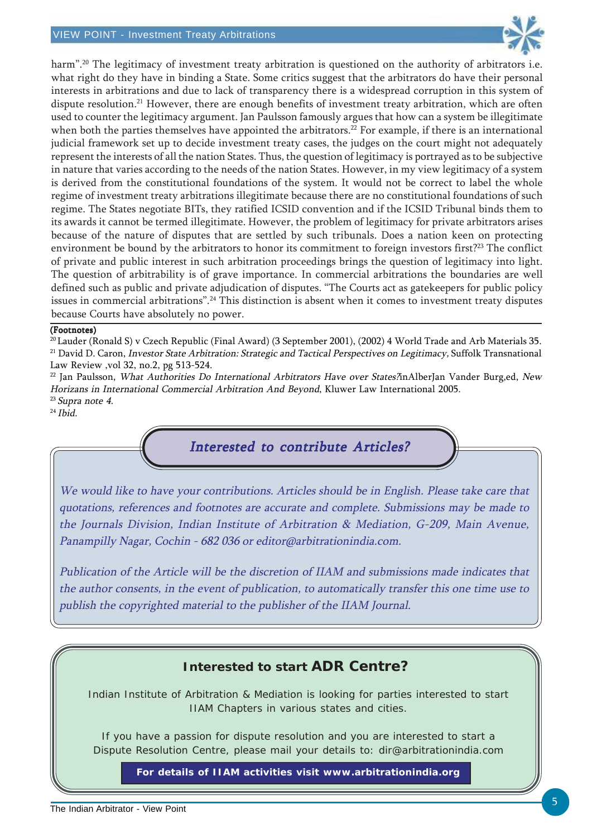

harm".<sup>20</sup> The legitimacy of investment treaty arbitration is questioned on the authority of arbitrators i.e. what right do they have in binding a State. Some critics suggest that the arbitrators do have their personal interests in arbitrations and due to lack of transparency there is a widespread corruption in this system of dispute resolution.<sup>21</sup> However, there are enough benefits of investment treaty arbitration, which are often used to counter the legitimacy argument. Jan Paulsson famously argues that how can a system be illegitimate when both the parties themselves have appointed the arbitrators.<sup>22</sup> For example, if there is an international judicial framework set up to decide investment treaty cases, the judges on the court might not adequately represent the interests of all the nation States. Thus, the question of legitimacy is portrayed as to be subjective in nature that varies according to the needs of the nation States. However, in my view legitimacy of a system is derived from the constitutional foundations of the system. It would not be correct to label the whole regime of investment treaty arbitrations illegitimate because there are no constitutional foundations of such regime. The States negotiate BITs, they ratified ICSID convention and if the ICSID Tribunal binds them to its awards it cannot be termed illegitimate. However, the problem of legitimacy for private arbitrators arises because of the nature of disputes that are settled by such tribunals. Does a nation keen on protecting environment be bound by the arbitrators to honor its commitment to foreign investors first?<sup>23</sup> The conflict of private and public interest in such arbitration proceedings brings the question of legitimacy into light. The question of arbitrability is of grave importance. In commercial arbitrations the boundaries are well defined such as public and private adjudication of disputes. "The Courts act as gatekeepers for public policy issues in commercial arbitrations".24 This distinction is absent when it comes to investment treaty disputes because Courts have absolutely no power.

#### (Footnotes)

 $^{22}$  Jan Paulsson, What Authorities Do International Arbitrators Have over States?inAlberJan Vander Burg,ed, New Horizans in International Commercial Arbitration And Beyond, Kluwer Law International 2005. <sup>23</sup> Supra note 4.

 $24$  Ibid.

## Interested to contribute Articles?

We would like to have your contributions. Articles should be in English. Please take care that quotations, references and footnotes are accurate and complete. Submissions may be made to the Journals Division, Indian Institute of Arbitration & Mediation, G-209, Main Avenue, Panampilly Nagar, Cochin - 682 036 or editor@arbitrationindia.com.

Publication of the Article will be the discretion of IIAM and submissions made indicates that the author consents, in the event of publication, to automatically transfer this one time use to publish the copyrighted material to the publisher of the IIAM Journal.

## **Interested to start ADR Centre?**

Indian Institute of Arbitration & Mediation is looking for parties interested to start IIAM Chapters in various states and cities.

If you have a passion for dispute resolution and you are interested to start a Dispute Resolution Centre, please mail your details to: dir@arbitrationindia.com

**For details of IIAM activities visit www.arbitrationindia.org**

<sup>&</sup>lt;sup>20</sup> Lauder (Ronald S) v Czech Republic (Final Award) (3 September 2001), (2002) 4 World Trade and Arb Materials 35. <sup>21</sup> David D. Caron, Investor State Arbitration: Strategic and Tactical Perspectives on Legitimacy, Suffolk Transnational Law Review ,vol 32, no.2, pg 513-524.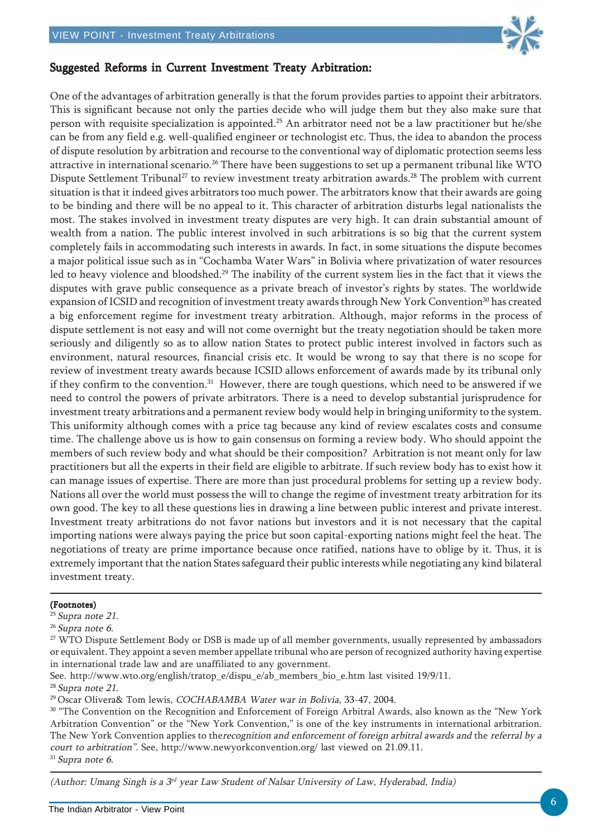

### Suggested Reforms in Current Investment Treaty Arbitration:

One of the advantages of arbitration generally is that the forum provides parties to appoint their arbitrators. This is significant because not only the parties decide who will judge them but they also make sure that person with requisite specialization is appointed.25 An arbitrator need not be a law practitioner but he/she can be from any field e.g. well-qualified engineer or technologist etc. Thus, the idea to abandon the process of dispute resolution by arbitration and recourse to the conventional way of diplomatic protection seems less attractive in international scenario.26 There have been suggestions to set up a permanent tribunal like WTO Dispute Settlement Tribunal<sup>27</sup> to review investment treaty arbitration awards.<sup>28</sup> The problem with current situation is that it indeed gives arbitrators too much power. The arbitrators know that their awards are going to be binding and there will be no appeal to it. This character of arbitration disturbs legal nationalists the most. The stakes involved in investment treaty disputes are very high. It can drain substantial amount of wealth from a nation. The public interest involved in such arbitrations is so big that the current system completely fails in accommodating such interests in awards. In fact, in some situations the dispute becomes a major political issue such as in "Cochamba Water Wars" in Bolivia where privatization of water resources led to heavy violence and bloodshed.<sup>29</sup> The inability of the current system lies in the fact that it views the disputes with grave public consequence as a private breach of investor's rights by states. The worldwide expansion of ICSID and recognition of investment treaty awards through New York Convention<sup>30</sup> has created a big enforcement regime for investment treaty arbitration. Although, major reforms in the process of dispute settlement is not easy and will not come overnight but the treaty negotiation should be taken more seriously and diligently so as to allow nation States to protect public interest involved in factors such as environment, natural resources, financial crisis etc. It would be wrong to say that there is no scope for review of investment treaty awards because ICSID allows enforcement of awards made by its tribunal only if they confirm to the convention.31 However, there are tough questions, which need to be answered if we need to control the powers of private arbitrators. There is a need to develop substantial jurisprudence for investment treaty arbitrations and a permanent review body would help in bringing uniformity to the system. This uniformity although comes with a price tag because any kind of review escalates costs and consume time. The challenge above us is how to gain consensus on forming a review body. Who should appoint the members of such review body and what should be their composition? Arbitration is not meant only for law practitioners but all the experts in their field are eligible to arbitrate. If such review body has to exist how it can manage issues of expertise. There are more than just procedural problems for setting up a review body. Nations all over the world must possess the will to change the regime of investment treaty arbitration for its own good. The key to all these questions lies in drawing a line between public interest and private interest. Investment treaty arbitrations do not favor nations but investors and it is not necessary that the capital importing nations were always paying the price but soon capital-exporting nations might feel the heat. The negotiations of treaty are prime importance because once ratified, nations have to oblige by it. Thus, it is extremely important that the nation States safeguard their public interests while negotiating any kind bilateral investment treaty.

#### (Footnotes)

<sup>25</sup> Supra note 21.

 $26$  Supra note 6.

See. http://www.wto.org/english/tratop\_e/dispu\_e/ab\_members\_bio\_e.htm last visited 19/9/11.

<sup>28</sup> Supra note 21.

29 Oscar Olivera& Tom lewis, COCHABAMBA Water war in Bolivia, 33-47, 2004.

<sup>30</sup> "The Convention on the Recognition and Enforcement of Foreign Arbitral Awards, also known as the "New York Arbitration Convention" or the "New York Convention," is one of the key instruments in international arbitration. The New York Convention applies to therecognition and enforcement of foreign arbitral awards and the referral by a court to arbitration". See, http://www.newyorkconvention.org/ last viewed on 21.09.11.

 $31$  Supra note 6.

(Author: Umang Singh is a  $3<sup>rd</sup>$  year Law Student of Nalsar University of Law, Hyderabad, India)

<sup>&</sup>lt;sup>27</sup> WTO Dispute Settlement Body or DSB is made up of all member governments, usually represented by ambassadors or equivalent. They appoint a seven member appellate tribunal who are person of recognized authority having expertise in international trade law and are unaffiliated to any government.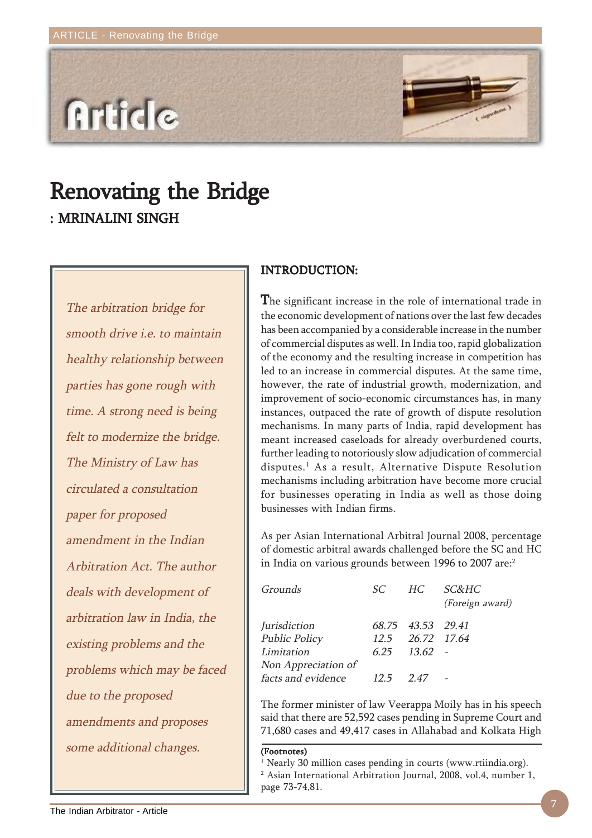

# Renovating the Bridge : MRINALINI SINGH

The arbitration bridge for smooth drive i.e. to maintain healthy relationship between parties has gone rough with time. A strong need is being felt to modernize the bridge. The Ministry of Law has circulated a consultation paper for proposed amendment in the Indian Arbitration Act. The author deals with development of arbitration law in India, the existing problems and the problems which may be faced due to the proposed amendments and proposes some additional changes.

### INTRODUCTION: INTRODUCTION:

The significant increase in the role of international trade in the economic development of nations over the last few decades has been accompanied by a considerable increase in the number of commercial disputes as well. In India too, rapid globalization of the economy and the resulting increase in competition has led to an increase in commercial disputes. At the same time, however, the rate of industrial growth, modernization, and improvement of socio-economic circumstances has, in many instances, outpaced the rate of growth of dispute resolution mechanisms. In many parts of India, rapid development has meant increased caseloads for already overburdened courts, further leading to notoriously slow adjudication of commercial disputes.1 As a result, Alternative Dispute Resolution mechanisms including arbitration have become more crucial for businesses operating in India as well as those doing businesses with Indian firms.

As per Asian International Arbitral Journal 2008, percentage of domestic arbitral awards challenged before the SC and HC in India on various grounds between 1996 to 2007 are:<sup>2</sup>

| Grounds              | SC.  |                   | HC SC&HC<br>(Foreign award) |
|----------------------|------|-------------------|-----------------------------|
| Jurisdiction         |      | 68.75 43.53 29.41 |                             |
| <b>Public Policy</b> |      | 12.5 26.72 17.64  |                             |
| Limitation           |      | $6.25$ $13.62$ -  |                             |
| Non Appreciation of  |      |                   |                             |
| facts and evidence   | 12.5 | 247               |                             |

The former minister of law Veerappa Moily has in his speech said that there are 52,592 cases pending in Supreme Court and 71,680 cases and 49,417 cases in Allahabad and Kolkata High

#### (Footnotes)

<sup>1</sup> Nearly 30 million cases pending in courts (www.rtiindia.org). 2 Asian International Arbitration Journal, 2008, vol.4, number 1, page 73-74,81.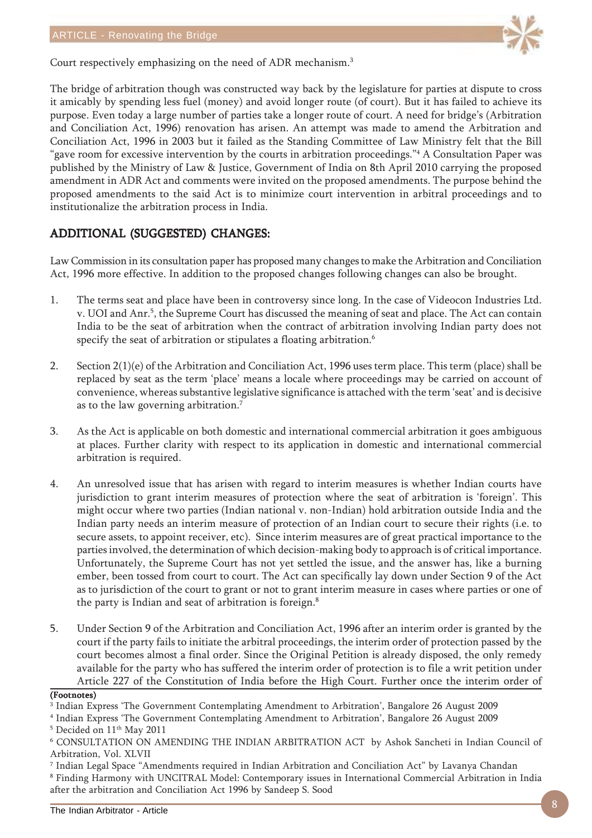

Court respectively emphasizing on the need of ADR mechanism.3

The bridge of arbitration though was constructed way back by the legislature for parties at dispute to cross it amicably by spending less fuel (money) and avoid longer route (of court). But it has failed to achieve its purpose. Even today a large number of parties take a longer route of court. A need for bridge's (Arbitration and Conciliation Act, 1996) renovation has arisen. An attempt was made to amend the Arbitration and Conciliation Act, 1996 in 2003 but it failed as the Standing Committee of Law Ministry felt that the Bill "gave room for excessive intervention by the courts in arbitration proceedings." $^4$  A Consultation Paper was published by the Ministry of Law & Justice, Government of India on 8th April 2010 carrying the proposed amendment in ADR Act and comments were invited on the proposed amendments. The purpose behind the proposed amendments to the said Act is to minimize court intervention in arbitral proceedings and to institutionalize the arbitration process in India.

## ADDITIONAL (SUGGESTED) CHANGES: ADDITIONAL (SUGGESTED) CHANGES:

Law Commission in its consultation paper has proposed many changes to make the Arbitration and Conciliation Act, 1996 more effective. In addition to the proposed changes following changes can also be brought.

- 1. The terms seat and place have been in controversy since long. In the case of Videocon Industries Ltd. v. UOI and Anr.<sup>5</sup>, the Supreme Court has discussed the meaning of seat and place. The Act can contain India to be the seat of arbitration when the contract of arbitration involving Indian party does not specify the seat of arbitration or stipulates a floating arbitration.<sup>6</sup>
- 2. Section 2(1)(e) of the Arbitration and Conciliation Act, 1996 uses term place. This term (place) shall be replaced by seat as the term 'place' means a locale where proceedings may be carried on account of convenience, whereas substantive legislative significance is attached with the term 'seat' and is decisive as to the law governing arbitration.7
- 3. As the Act is applicable on both domestic and international commercial arbitration it goes ambiguous at places. Further clarity with respect to its application in domestic and international commercial arbitration is required.
- 4. An unresolved issue that has arisen with regard to interim measures is whether Indian courts have jurisdiction to grant interim measures of protection where the seat of arbitration is 'foreign'. This might occur where two parties (Indian national v. non-Indian) hold arbitration outside India and the Indian party needs an interim measure of protection of an Indian court to secure their rights (i.e. to secure assets, to appoint receiver, etc). Since interim measures are of great practical importance to the parties involved, the determination of which decision-making body to approach is of critical importance. Unfortunately, the Supreme Court has not yet settled the issue, and the answer has, like a burning ember, been tossed from court to court. The Act can specifically lay down under Section 9 of the Act as to jurisdiction of the court to grant or not to grant interim measure in cases where parties or one of the party is Indian and seat of arbitration is foreign.8
- 5. Under Section 9 of the Arbitration and Conciliation Act, 1996 after an interim order is granted by the court if the party fails to initiate the arbitral proceedings, the interim order of protection passed by the court becomes almost a final order. Since the Original Petition is already disposed, the only remedy available for the party who has suffered the interim order of protection is to file a writ petition under Article 227 of the Constitution of India before the High Court. Further once the interim order of

#### (Footnotes)

<sup>3</sup> Indian Express 'The Government Contemplating Amendment to Arbitration', Bangalore 26 August 2009

<sup>4</sup> Indian Express 'The Government Contemplating Amendment to Arbitration', Bangalore 26 August 2009

<sup>&</sup>lt;sup>5</sup> Decided on 11<sup>th</sup> May 2011

<sup>6</sup> CONSULTATION ON AMENDING THE INDIAN ARBITRATION ACT by Ashok Sancheti in Indian Council of Arbitration, Vol. XLVII

<sup>7</sup> Indian Legal Space "Amendments required in Indian Arbitration and Conciliation Act" by Lavanya Chandan

 $\rm ^{8}$  Finding Harmony with UNCITRAL Model: Contemporary issues in International Commercial Arbitration in India after the arbitration and Conciliation Act 1996 by Sandeep S. Sood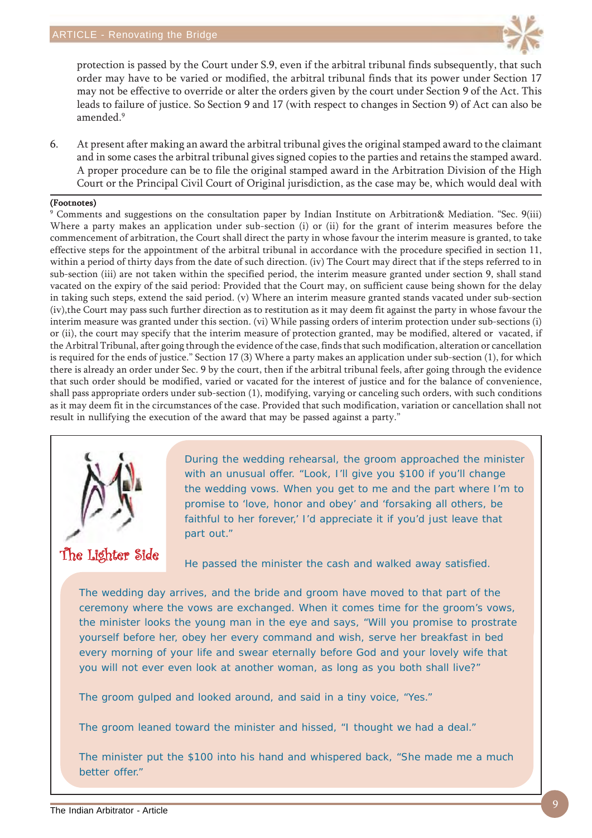

protection is passed by the Court under S.9, even if the arbitral tribunal finds subsequently, that such order may have to be varied or modified, the arbitral tribunal finds that its power under Section 17 may not be effective to override or alter the orders given by the court under Section 9 of the Act. This leads to failure of justice. So Section 9 and 17 (with respect to changes in Section 9) of Act can also be amended.9

6. At present after making an award the arbitral tribunal gives the original stamped award to the claimant and in some cases the arbitral tribunal gives signed copies to the parties and retains the stamped award. A proper procedure can be to file the original stamped award in the Arbitration Division of the High Court or the Principal Civil Court of Original jurisdiction, as the case may be, which would deal with

#### (Footnotes)

9 Comments and suggestions on the consultation paper by Indian Institute on Arbitration& Mediation. "Sec. 9(iii) Where a party makes an application under sub-section (i) or (ii) for the grant of interim measures before the commencement of arbitration, the Court shall direct the party in whose favour the interim measure is granted, to take effective steps for the appointment of the arbitral tribunal in accordance with the procedure specified in section 11, within a period of thirty days from the date of such direction. (iv) The Court may direct that if the steps referred to in sub-section (iii) are not taken within the specified period, the interim measure granted under section 9, shall stand vacated on the expiry of the said period: Provided that the Court may, on sufficient cause being shown for the delay in taking such steps, extend the said period. (v) Where an interim measure granted stands vacated under sub-section (iv),the Court may pass such further direction as to restitution as it may deem fit against the party in whose favour the interim measure was granted under this section. (vi) While passing orders of interim protection under sub-sections (i) or (ii), the court may specify that the interim measure of protection granted, may be modified, altered or vacated, if the Arbitral Tribunal, after going through the evidence of the case, finds that such modification, alteration or cancellation is required for the ends of justice." Section 17 (3) Where a party makes an application under sub-section (1), for which there is already an order under Sec. 9 by the court, then if the arbitral tribunal feels, after going through the evidence that such order should be modified, varied or vacated for the interest of justice and for the balance of convenience, shall pass appropriate orders under sub-section (1), modifying, varying or canceling such orders, with such conditions as it may deem fit in the circumstances of the case. Provided that such modification, variation or cancellation shall not result in nullifying the execution of the award that may be passed against a party."



During the wedding rehearsal, the groom approached the minister with an unusual offer. "Look, I'll give you \$100 if you'll change the wedding vows. When you get to me and the part where I'm to promise to 'love, honor and obey' and 'forsaking all others, be faithful to her forever,' I'd appreciate it if you'd just leave that part out."

He passed the minister the cash and walked away satisfied.

The wedding day arrives, and the bride and groom have moved to that part of the ceremony where the vows are exchanged. When it comes time for the groom's vows, the minister looks the young man in the eye and says, "Will you promise to prostrate yourself before her, obey her every command and wish, serve her breakfast in bed every morning of your life and swear eternally before God and your lovely wife that you will not ever even look at another woman, as long as you both shall live?"

The groom gulped and looked around, and said in a tiny voice, "Yes."

The groom leaned toward the minister and hissed, "I thought we had a deal."

The minister put the \$100 into his hand and whispered back, "She made me a much better offer."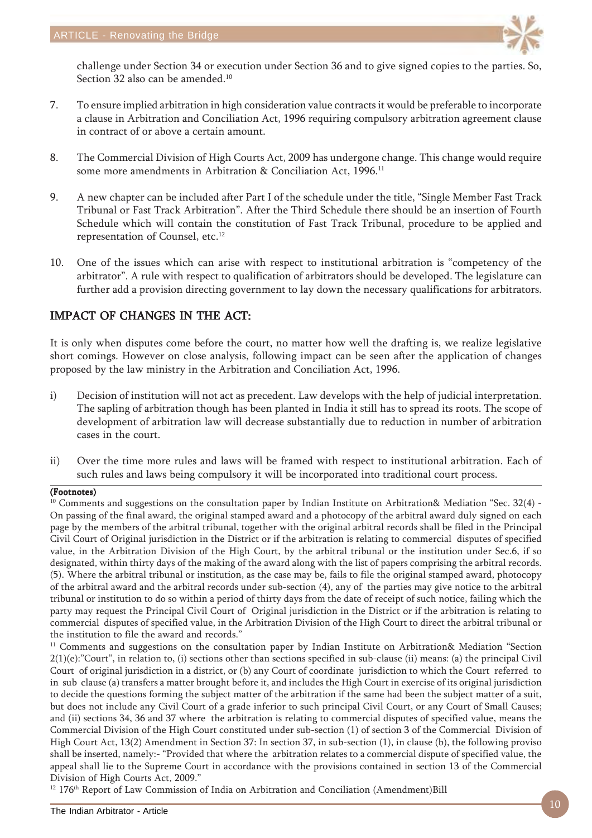

challenge under Section 34 or execution under Section 36 and to give signed copies to the parties. So, Section 32 also can be amended.<sup>10</sup>

- 7. To ensure implied arbitration in high consideration value contracts it would be preferable to incorporate a clause in Arbitration and Conciliation Act, 1996 requiring compulsory arbitration agreement clause in contract of or above a certain amount.
- 8. The Commercial Division of High Courts Act, 2009 has undergone change. This change would require some more amendments in Arbitration & Conciliation Act, 1996.<sup>11</sup>
- 9. A new chapter can be included after Part I of the schedule under the title, "Single Member Fast Track Tribunal or Fast Track Arbitration". After the Third Schedule there should be an insertion of Fourth Schedule which will contain the constitution of Fast Track Tribunal, procedure to be applied and representation of Counsel, etc.<sup>12</sup>
- 10. One of the issues which can arise with respect to institutional arbitration is "competency of the arbitrator". A rule with respect to qualification of arbitrators should be developed. The legislature can further add a provision directing government to lay down the necessary qualifications for arbitrators.

## IMPACT OF CHANGES IN THE ACT:

It is only when disputes come before the court, no matter how well the drafting is, we realize legislative short comings. However on close analysis, following impact can be seen after the application of changes proposed by the law ministry in the Arbitration and Conciliation Act, 1996.

- i) Decision of institution will not act as precedent. Law develops with the help of judicial interpretation. The sapling of arbitration though has been planted in India it still has to spread its roots. The scope of development of arbitration law will decrease substantially due to reduction in number of arbitration cases in the court.
- ii) Over the time more rules and laws will be framed with respect to institutional arbitration. Each of such rules and laws being compulsory it will be incorporated into traditional court process.

### (Footnotes)

<sup>10</sup> Comments and suggestions on the consultation paper by Indian Institute on Arbitration& Mediation "Sec. 32(4) -On passing of the final award, the original stamped award and a photocopy of the arbitral award duly signed on each page by the members of the arbitral tribunal, together with the original arbitral records shall be filed in the Principal Civil Court of Original jurisdiction in the District or if the arbitration is relating to commercial disputes of specified value, in the Arbitration Division of the High Court, by the arbitral tribunal or the institution under Sec.6, if so designated, within thirty days of the making of the award along with the list of papers comprising the arbitral records. (5). Where the arbitral tribunal or institution, as the case may be, fails to file the original stamped award, photocopy of the arbitral award and the arbitral records under sub-section (4), any of the parties may give notice to the arbitral tribunal or institution to do so within a period of thirty days from the date of receipt of such notice, failing which the party may request the Principal Civil Court of Original jurisdiction in the District or if the arbitration is relating to commercial disputes of specified value, in the Arbitration Division of the High Court to direct the arbitral tribunal or the institution to file the award and records."

<sup>11</sup> Comments and suggestions on the consultation paper by Indian Institute on Arbitration& Mediation "Section  $2(1)(e)$ :"Court", in relation to, (i) sections other than sections specified in sub-clause (ii) means: (a) the principal Civil Court of original jurisdiction in a district, or (b) any Court of coordinate jurisdiction to which the Court referred to in sub clause (a) transfers a matter brought before it, and includes the High Court in exercise of its original jurisdiction to decide the questions forming the subject matter of the arbitration if the same had been the subject matter of a suit, but does not include any Civil Court of a grade inferior to such principal Civil Court, or any Court of Small Causes; and (ii) sections 34, 36 and 37 where the arbitration is relating to commercial disputes of specified value, means the Commercial Division of the High Court constituted under sub-section (1) of section 3 of the Commercial Division of High Court Act, 13(2) Amendment in Section 37: In section 37, in sub-section (1), in clause (b), the following proviso shall be inserted, namely:- "Provided that where the arbitration relates to a commercial dispute of specified value, the appeal shall lie to the Supreme Court in accordance with the provisions contained in section 13 of the Commercial Division of High Courts Act, 2009."

<sup>12</sup> 176<sup>th</sup> Report of Law Commission of India on Arbitration and Conciliation (Amendment)Bill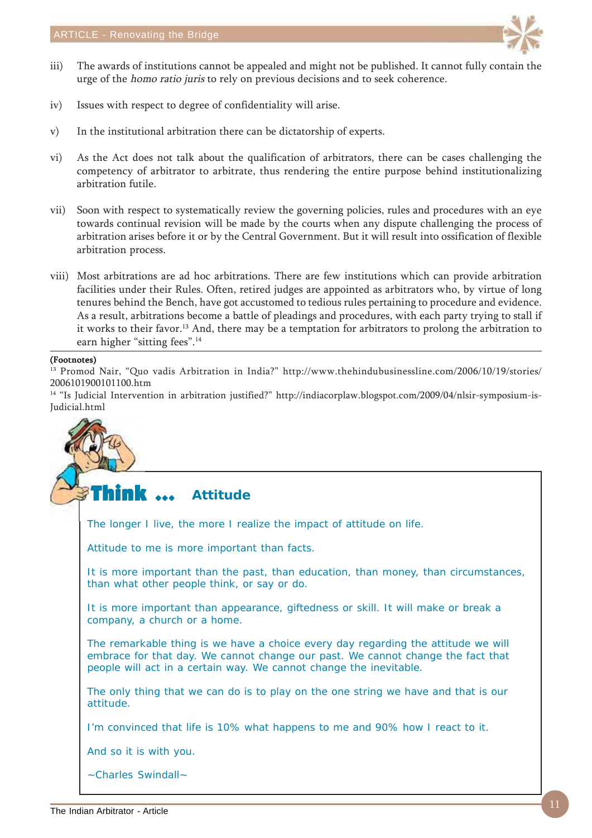

- iii) The awards of institutions cannot be appealed and might not be published. It cannot fully contain the urge of the homo ratio juris to rely on previous decisions and to seek coherence.
- iv) Issues with respect to degree of confidentiality will arise.
- v) In the institutional arbitration there can be dictatorship of experts.
- vi) As the Act does not talk about the qualification of arbitrators, there can be cases challenging the competency of arbitrator to arbitrate, thus rendering the entire purpose behind institutionalizing arbitration futile.
- vii) Soon with respect to systematically review the governing policies, rules and procedures with an eye towards continual revision will be made by the courts when any dispute challenging the process of arbitration arises before it or by the Central Government. But it will result into ossification of flexible arbitration process.
- viii) Most arbitrations are ad hoc arbitrations. There are few institutions which can provide arbitration facilities under their Rules. Often, retired judges are appointed as arbitrators who, by virtue of long tenures behind the Bench, have got accustomed to tedious rules pertaining to procedure and evidence. As a result, arbitrations become a battle of pleadings and procedures, with each party trying to stall if it works to their favor.13 And, there may be a temptation for arbitrators to prolong the arbitration to earn higher "sitting fees".<sup>14</sup>

#### (Footnotes)

<sup>13</sup> Promod Nair, "Quo vadis Arbitration in India?" http://www.thehindubusinessline.com/2006/10/19/stories/ 2006101900101100.htm

14 "Is Judicial Intervention in arbitration justified?" http://indiacorplaw.blogspot.com/2009/04/nlsir-symposium-is-Judicial.html

Think ... The longer I live, the more I realize the impact of attitude on life. Attitude to me is more important than facts. It is more important than the past, than education, than money, than circumstances, than what other people think, or say or do. It is more important than appearance, giftedness or skill. It will make or break a company, a church or a home. The remarkable thing is we have a choice every day regarding the attitude we will embrace for that day. We cannot change our past. We cannot change the fact that people will act in a certain way. We cannot change the inevitable. The only thing that we can do is to play on the one string we have and that is our attitude. I'm convinced that life is 10% what happens to me and 90% how I react to it. And so it is with you. ~Charles Swindall~ **Attitude**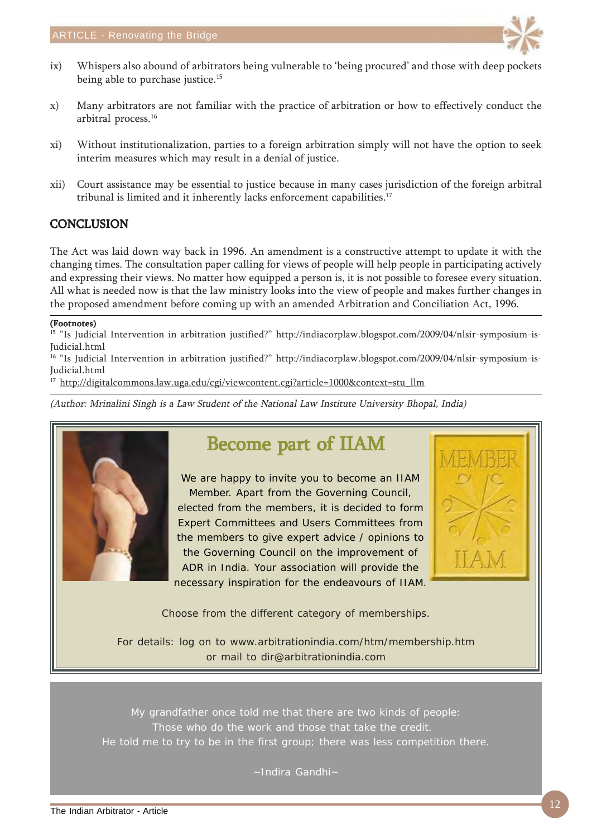

- ix) Whispers also abound of arbitrators being vulnerable to 'being procured' and those with deep pockets being able to purchase justice.<sup>15</sup>
- x) Many arbitrators are not familiar with the practice of arbitration or how to effectively conduct the arbitral process.16
- xi) Without institutionalization, parties to a foreign arbitration simply will not have the option to seek interim measures which may result in a denial of justice.
- xii) Court assistance may be essential to justice because in many cases jurisdiction of the foreign arbitral tribunal is limited and it inherently lacks enforcement capabilities.<sup>17</sup>

## **CONCLUSION**

The Act was laid down way back in 1996. An amendment is a constructive attempt to update it with the changing times. The consultation paper calling for views of people will help people in participating actively and expressing their views. No matter how equipped a person is, it is not possible to foresee every situation. All what is needed now is that the law ministry looks into the view of people and makes further changes in the proposed amendment before coming up with an amended Arbitration and Conciliation Act, 1996.

### (Footnotes)

<sup>15</sup> "Is Judicial Intervention in arbitration justified?" http://indiacorplaw.blogspot.com/2009/04/nlsir-symposium-is-Judicial.html

<sup>16</sup> "Is Judicial Intervention in arbitration justified?" http://indiacorplaw.blogspot.com/2009/04/nlsir-symposium-is-Judicial.html

<sup>17</sup> http://digitalcommons.law.uga.edu/cgi/viewcontent.cgi?article=1000&context=stu\_llm

(Author: Mrinalini Singh is a Law Student of the National Law Institute University Bhopal, India)



## Become part of IIAM

We are happy to invite you to become an IIAM Member. Apart from the Governing Council, elected from the members, it is decided to form Expert Committees and Users Committees from the members to give expert advice / opinions to the Governing Council on the improvement of ADR in India. Your association will provide the necessary inspiration for the endeavours of IIAM.



Choose from the different category of memberships.

For details: log on to www.arbitrationindia.com/htm/membership.htm or mail to dir@arbitrationindia.com

My grandfather once told me that there are two kinds of people: Those who do the work and those that take the credit. He told me to try to be in the first group; there was less competition there.

~Indira Gandhi~